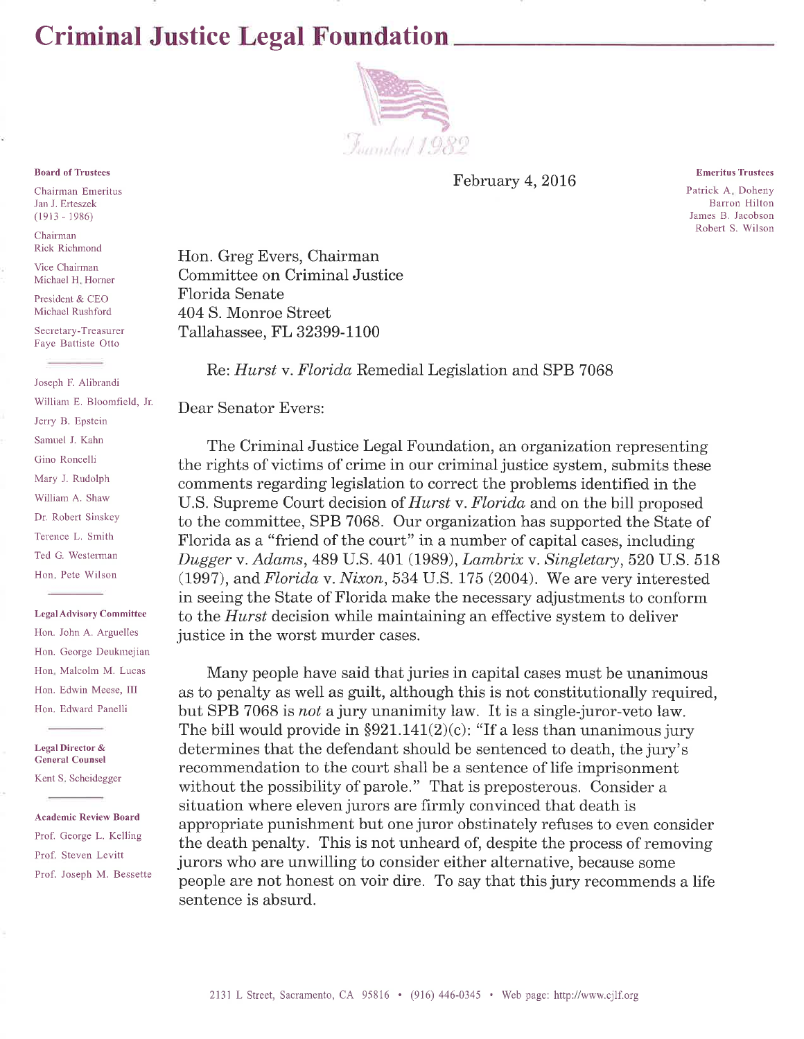# **Criminal Justice Legal Foundation**



February 4, 2016

**Emeritus Trustees** Patrick A. Doheny Barron Hilton James B. Jacobson

Robert S. Wilson

Hon. Greg Evers, Chairman Committee on Criminal Justice Florida Senate 404 S. Monroe Street Tallahassee, FL 32399-1100

Re: *Hurst v. Florida* Remedial Legislation and SPB 7068

Dear Senator Evers:

The Criminal Justice Legal Foundation, an organization representing the rights of victims of crime in our criminal justice system, submits these comments regarding legislation to correct the problems identified in the U.S. Supreme Court decision of *Hurst* v. *Florida* and on the bill proposed to the committee, SPB 7068. Our organization has supported the State of Florida as a "friend of the court" in a number of capital cases, including Dugger v. Adams, 489 U.S. 401 (1989), Lambrix v. Singletary, 520 U.S. 518  $(1997)$ , and Florida v. Nixon, 534 U.S. 175 (2004). We are very interested in seeing the State of Florida make the necessary adjustments to conform to the *Hurst* decision while maintaining an effective system to deliver justice in the worst murder cases.

Many people have said that juries in capital cases must be unanimous as to penalty as well as guilt, although this is not constitutionally required. but SPB 7068 is not a jury unanimity law. It is a single-juror-veto law. The bill would provide in  $\S 921.141(2)(c)$ : "If a less than unanimous jury determines that the defendant should be sentenced to death, the jury's recommendation to the court shall be a sentence of life imprisonment without the possibility of parole." That is preposterous. Consider a situation where eleven jurors are firmly convinced that death is appropriate punishment but one juror obstinately refuses to even consider the death penalty. This is not unheard of, despite the process of removing jurors who are unwilling to consider either alternative, because some people are not honest on voir dire. To say that this jury recommends a life sentence is absurd.

### **Board of Trustees**

Chairman Emeritus Jan J. Erteszek  $(1913 - 1986)$ 

Chairman **Rick Richmond** 

Vice Chairman Michael H. Horner

President & CEO Michael Rushford

Secretary-Treasurer Faye Battiste Otto

Joseph F. Alibrandi William E. Bloomfield, Jr. Jerry B. Epstein Samuel J. Kahn Gino Roncelli Mary J. Rudolph William A. Shaw Dr. Robert Sinskey Terence L. Smith Ted G. Westerman Hon, Pete Wilson

#### **Legal Advisory Committee**

Hon. John A. Arguelles Hon. George Deukmejian Hon, Malcolm M. Lucas Hon. Edwin Meese, III Hon. Edward Panelli

**Legal Director & General Counsel** 

Kent S. Scheidegger

**Academic Review Board** Prof. George L. Kelling Prof. Steven Levitt Prof. Joseph M. Bessette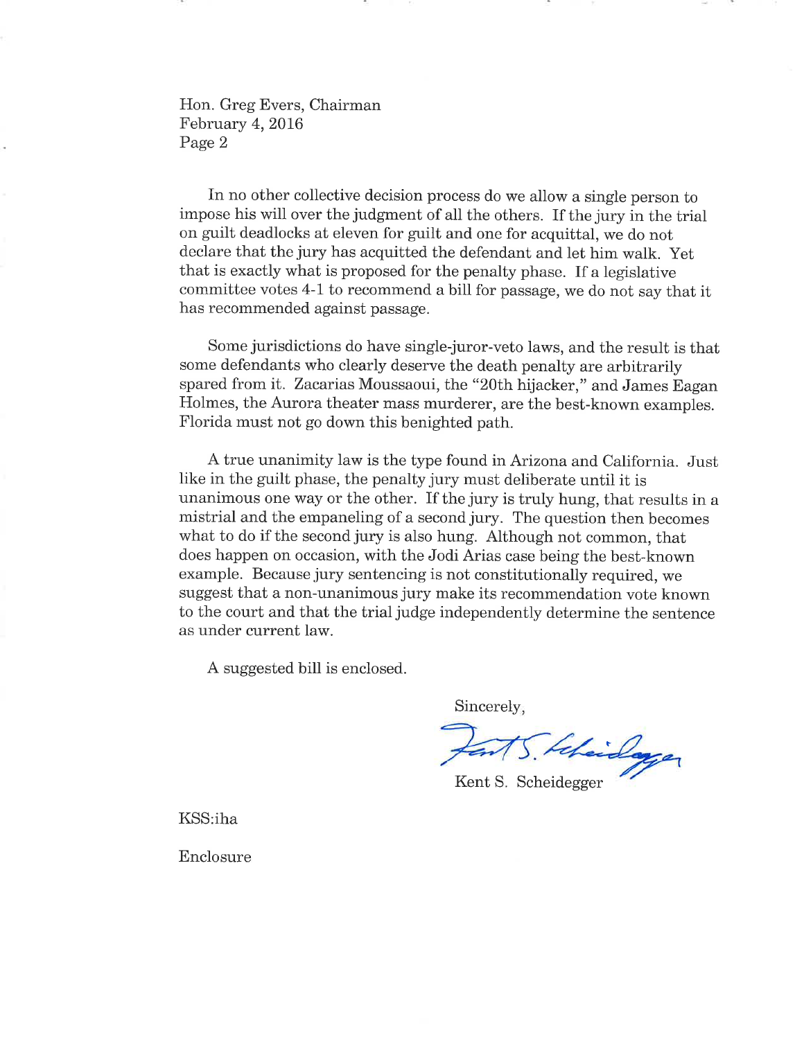Hon. Greg Evers, Chairman February 4, 2016 Page 2

In no other collective decision process do we allow a single person to impose his will over the judgment of all the others. If the jury in the trial on guilt deadlocks at eleven for guilt and one for acquittal, we do not declare that the jury has acquitted the defendant and let him walk. Yet that is exactly what is proposed for the penalty phase. If a legislative committee votes 4-1 to recommend a bill for passage, we do not say that it has recommended against passage.

Some jurisdictions do have single-juror-veto laws, and the result is that some defendants who clearly deserve the death penalty are arbitrarily spared from it. Zacarias Moussaoui, the "20th hijacker," and James Eagan Holmes, the Aurora theater mass murderer, are the best-known examples. Florida must not go down this benighted path.

A true unanimity law is the type found in Arizona and California. Just like in the guilt phase, the penalty jury must deliberate until it is unanimous one way or the other. If the jury is truly hung, that results in a mistrial and the empaneling of a second jury. The question then becomes what to do if the second jury is also hung. Although not common, that does happen on occasion, with the Jodi Arias case being the best-known example. Because jury sentencing is not constitutionally required, we suggest that a non-unanimous jury make its recommendation vote known to the court and that the trial judge independently determine the sentence as under current law.

A suggested bill is enclosed.

Sincerely,

5. Liberalayer

Kent S. Scheidegger

KSS:iha

Enclosure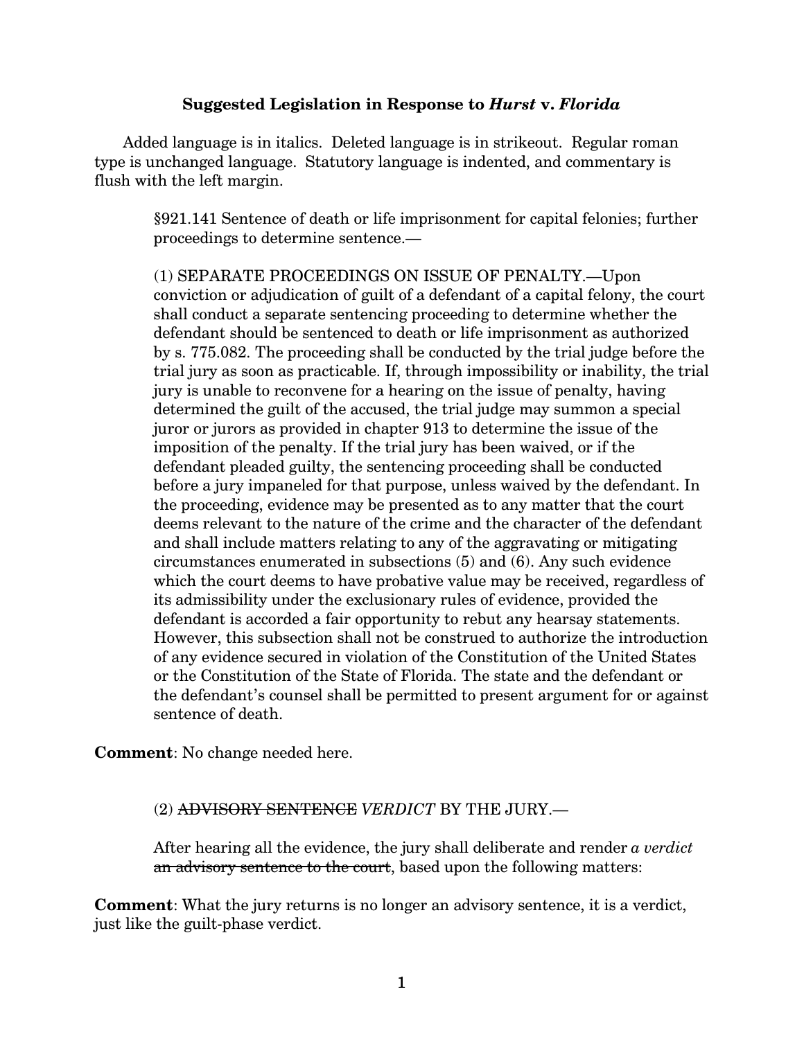## **Suggested Legislation in Response to** *Hurst* **v.** *Florida*

Added language is in italics. Deleted language is in strikeout. Regular roman type is unchanged language. Statutory language is indented, and commentary is flush with the left margin.

§921.141 Sentence of death or life imprisonment for capital felonies; further proceedings to determine sentence.—

(1) SEPARATE PROCEEDINGS ON ISSUE OF PENALTY.—Upon conviction or adjudication of guilt of a defendant of a capital felony, the court shall conduct a separate sentencing proceeding to determine whether the defendant should be sentenced to death or life imprisonment as authorized by s. 775.082. The proceeding shall be conducted by the trial judge before the trial jury as soon as practicable. If, through impossibility or inability, the trial jury is unable to reconvene for a hearing on the issue of penalty, having determined the guilt of the accused, the trial judge may summon a special juror or jurors as provided in chapter 913 to determine the issue of the imposition of the penalty. If the trial jury has been waived, or if the defendant pleaded guilty, the sentencing proceeding shall be conducted before a jury impaneled for that purpose, unless waived by the defendant. In the proceeding, evidence may be presented as to any matter that the court deems relevant to the nature of the crime and the character of the defendant and shall include matters relating to any of the aggravating or mitigating circumstances enumerated in subsections (5) and (6). Any such evidence which the court deems to have probative value may be received, regardless of its admissibility under the exclusionary rules of evidence, provided the defendant is accorded a fair opportunity to rebut any hearsay statements. However, this subsection shall not be construed to authorize the introduction of any evidence secured in violation of the Constitution of the United States or the Constitution of the State of Florida. The state and the defendant or the defendant's counsel shall be permitted to present argument for or against sentence of death.

**Comment**: No change needed here.

(2) ADVISORY SENTENCE *VERDICT* BY THE JURY.—

After hearing all the evidence, the jury shall deliberate and render *a verdict* an advisory sentence to the court, based upon the following matters:

**Comment**: What the jury returns is no longer an advisory sentence, it is a verdict, just like the guilt-phase verdict.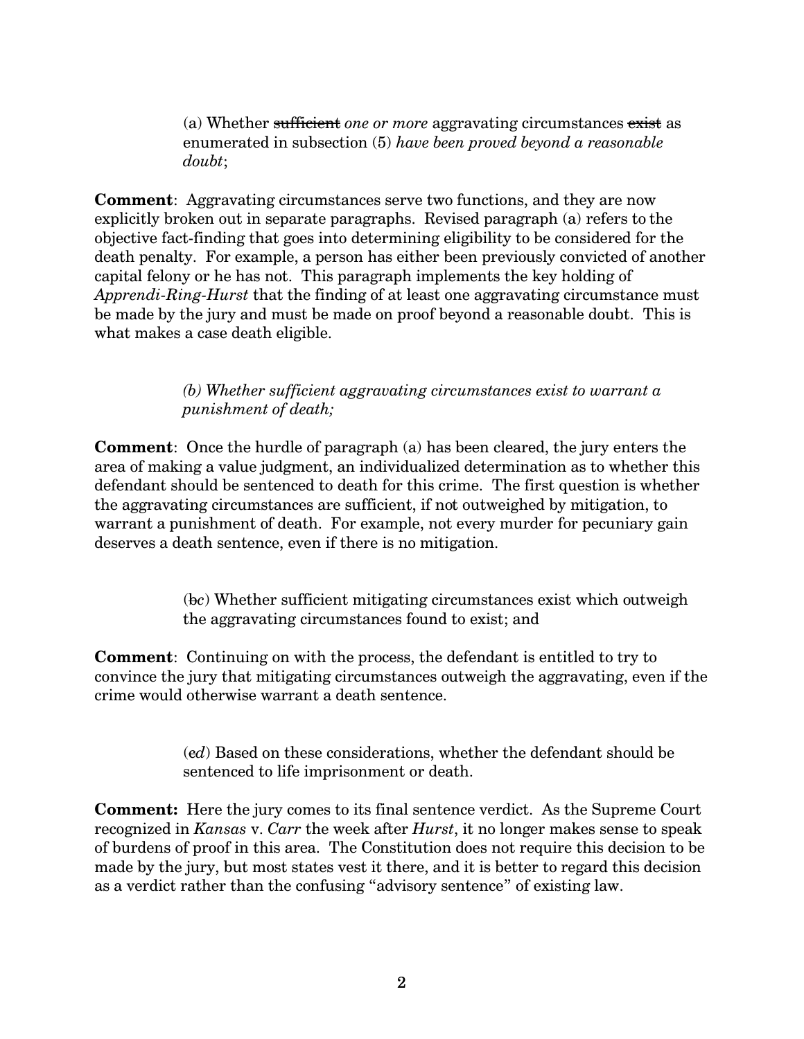(a) Whether sufficient *one or more* aggravating circumstances exist as enumerated in subsection (5) *have been proved beyond a reasonable doubt*;

**Comment:** Aggravating circumstances serve two functions, and they are now explicitly broken out in separate paragraphs. Revised paragraph (a) refers to the objective fact-finding that goes into determining eligibility to be considered for the death penalty. For example, a person has either been previously convicted of another capital felony or he has not. This paragraph implements the key holding of *Apprendi-Ring-Hurst* that the finding of at least one aggravating circumstance must be made by the jury and must be made on proof beyond a reasonable doubt. This is what makes a case death eligible.

> *(b) Whether sufficient aggravating circumstances exist to warrant a punishment of death;*

**Comment**: Once the hurdle of paragraph (a) has been cleared, the jury enters the area of making a value judgment, an individualized determination as to whether this defendant should be sentenced to death for this crime. The first question is whether the aggravating circumstances are sufficient, if not outweighed by mitigation, to warrant a punishment of death. For example, not every murder for pecuniary gain deserves a death sentence, even if there is no mitigation.

> (b*c*) Whether sufficient mitigating circumstances exist which outweigh the aggravating circumstances found to exist; and

**Comment**: Continuing on with the process, the defendant is entitled to try to convince the jury that mitigating circumstances outweigh the aggravating, even if the crime would otherwise warrant a death sentence.

> (c*d*) Based on these considerations, whether the defendant should be sentenced to life imprisonment or death.

**Comment:** Here the jury comes to its final sentence verdict. As the Supreme Court recognized in *Kansas* v. *Carr* the week after *Hurst*, it no longer makes sense to speak of burdens of proof in this area. The Constitution does not require this decision to be made by the jury, but most states vest it there, and it is better to regard this decision as a verdict rather than the confusing "advisory sentence" of existing law.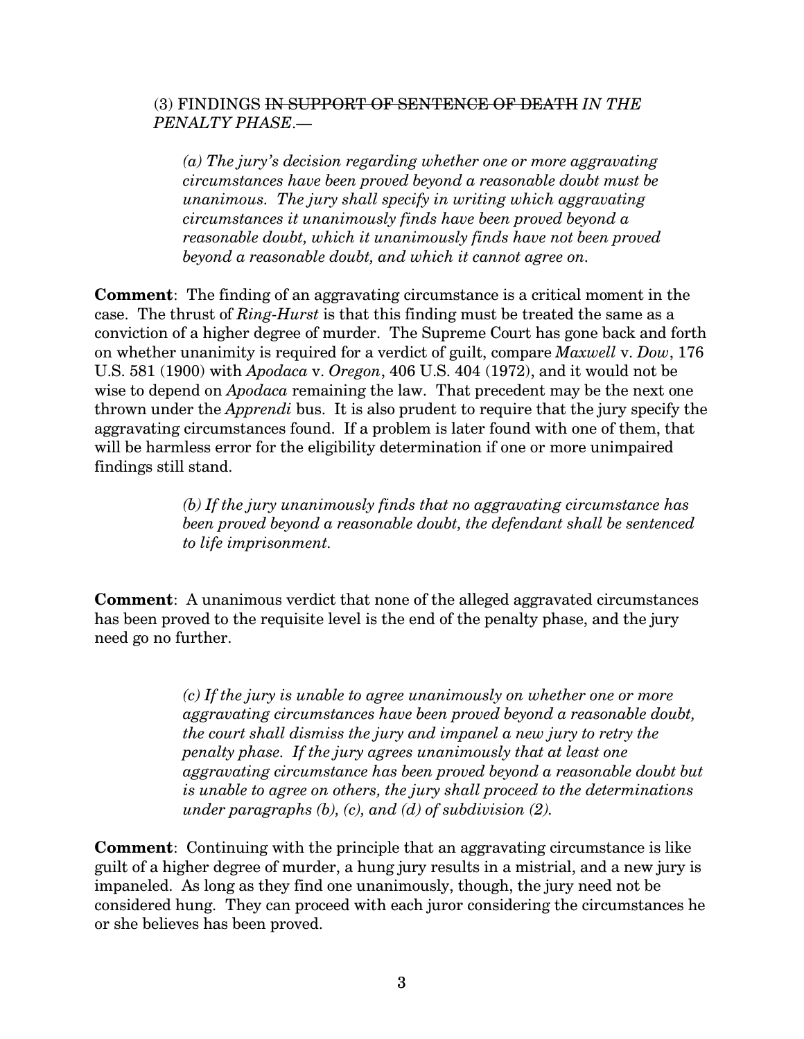## (3) FINDINGS IN SUPPORT OF SENTENCE OF DEATH *IN THE PENALTY PHASE*.—

*(a) The jury's decision regarding whether one or more aggravating circumstances have been proved beyond a reasonable doubt must be unanimous. The jury shall specify in writing which aggravating circumstances it unanimously finds have been proved beyond a reasonable doubt, which it unanimously finds have not been proved beyond a reasonable doubt, and which it cannot agree on.*

**Comment**: The finding of an aggravating circumstance is a critical moment in the case. The thrust of *Ring-Hurst* is that this finding must be treated the same as a conviction of a higher degree of murder. The Supreme Court has gone back and forth on whether unanimity is required for a verdict of guilt, compare *Maxwell* v. *Dow*, 176 U.S. 581 (1900) with *Apodaca* v. *Oregon*, 406 U.S. 404 (1972), and it would not be wise to depend on *Apodaca* remaining the law. That precedent may be the next one thrown under the *Apprendi* bus. It is also prudent to require that the jury specify the aggravating circumstances found. If a problem is later found with one of them, that will be harmless error for the eligibility determination if one or more unimpaired findings still stand.

> *(b) If the jury unanimously finds that no aggravating circumstance has been proved beyond a reasonable doubt, the defendant shall be sentenced to life imprisonment.*

**Comment**: A unanimous verdict that none of the alleged aggravated circumstances has been proved to the requisite level is the end of the penalty phase, and the jury need go no further.

> *(c) If the jury is unable to agree unanimously on whether one or more aggravating circumstances have been proved beyond a reasonable doubt, the court shall dismiss the jury and impanel a new jury to retry the penalty phase. If the jury agrees unanimously that at least one aggravating circumstance has been proved beyond a reasonable doubt but is unable to agree on others, the jury shall proceed to the determinations under paragraphs (b), (c), and (d) of subdivision (2).*

**Comment**: Continuing with the principle that an aggravating circumstance is like guilt of a higher degree of murder, a hung jury results in a mistrial, and a new jury is impaneled. As long as they find one unanimously, though, the jury need not be considered hung. They can proceed with each juror considering the circumstances he or she believes has been proved.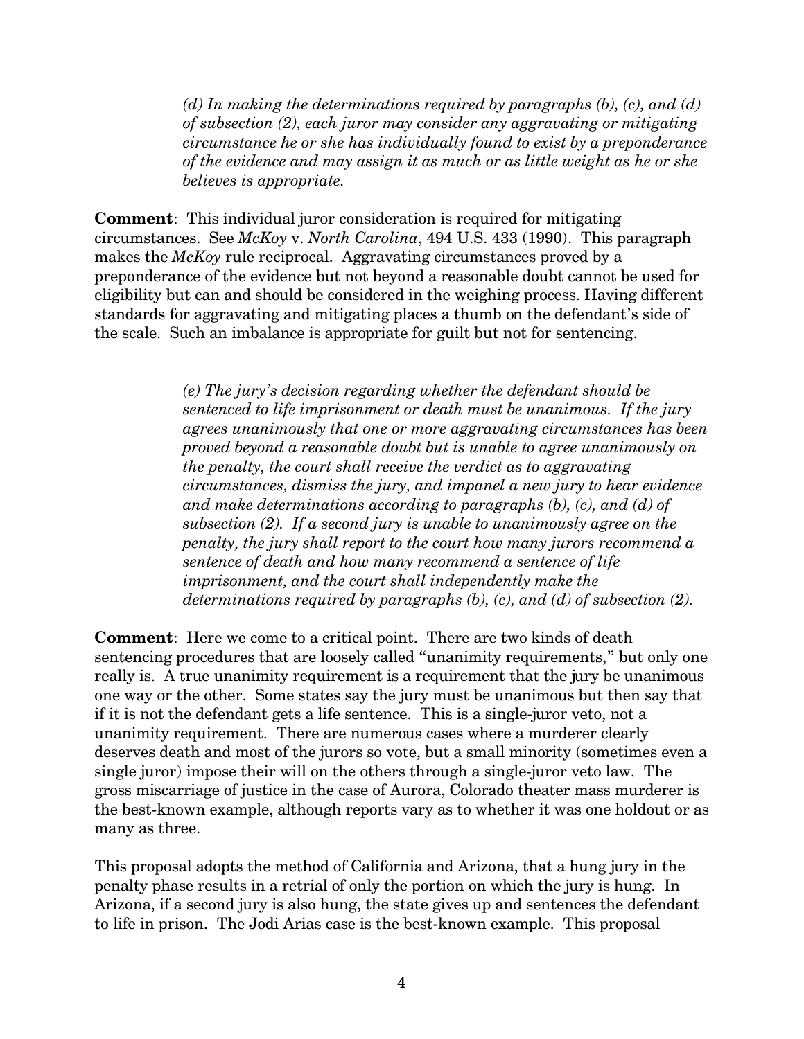*(d) In making the determinations required by paragraphs (b), (c), and (d) of subsection (2), each juror may consider any aggravating or mitigating circumstance he or she has individually found to exist by a preponderance of the evidence and may assign it as much or as little weight as he or she believes is appropriate.*

**Comment**: This individual juror consideration is required for mitigating circumstances. See *McKoy* v. *North Carolina*, 494 U.S. 433 (1990). This paragraph makes the *McKoy* rule reciprocal. Aggravating circumstances proved by a preponderance of the evidence but not beyond a reasonable doubt cannot be used for eligibility but can and should be considered in the weighing process. Having different standards for aggravating and mitigating places a thumb on the defendant's side of the scale. Such an imbalance is appropriate for guilt but not for sentencing.

> *(e) The jury's decision regarding whether the defendant should be sentenced to life imprisonment or death must be unanimous. If the jury agrees unanimously that one or more aggravating circumstances has been proved beyond a reasonable doubt but is unable to agree unanimously on the penalty, the court shall receive the verdict as to aggravating circumstances, dismiss the jury, and impanel a new jury to hear evidence and make determinations according to paragraphs (b), (c), and (d) of subsection (2). If a second jury is unable to unanimously agree on the penalty, the jury shall report to the court how many jurors recommend a sentence of death and how many recommend a sentence of life imprisonment, and the court shall independently make the determinations required by paragraphs (b), (c), and (d) of subsection (2).*

**Comment**: Here we come to a critical point. There are two kinds of death sentencing procedures that are loosely called "unanimity requirements," but only one really is. A true unanimity requirement is a requirement that the jury be unanimous one way or the other. Some states say the jury must be unanimous but then say that if it is not the defendant gets a life sentence. This is a single-juror veto, not a unanimity requirement. There are numerous cases where a murderer clearly deserves death and most of the jurors so vote, but a small minority (sometimes even a single juror) impose their will on the others through a single-juror veto law. The gross miscarriage of justice in the case of Aurora, Colorado theater mass murderer is the best-known example, although reports vary as to whether it was one holdout or as many as three.

This proposal adopts the method of California and Arizona, that a hung jury in the penalty phase results in a retrial of only the portion on which the jury is hung. In Arizona, if a second jury is also hung, the state gives up and sentences the defendant to life in prison. The Jodi Arias case is the best-known example. This proposal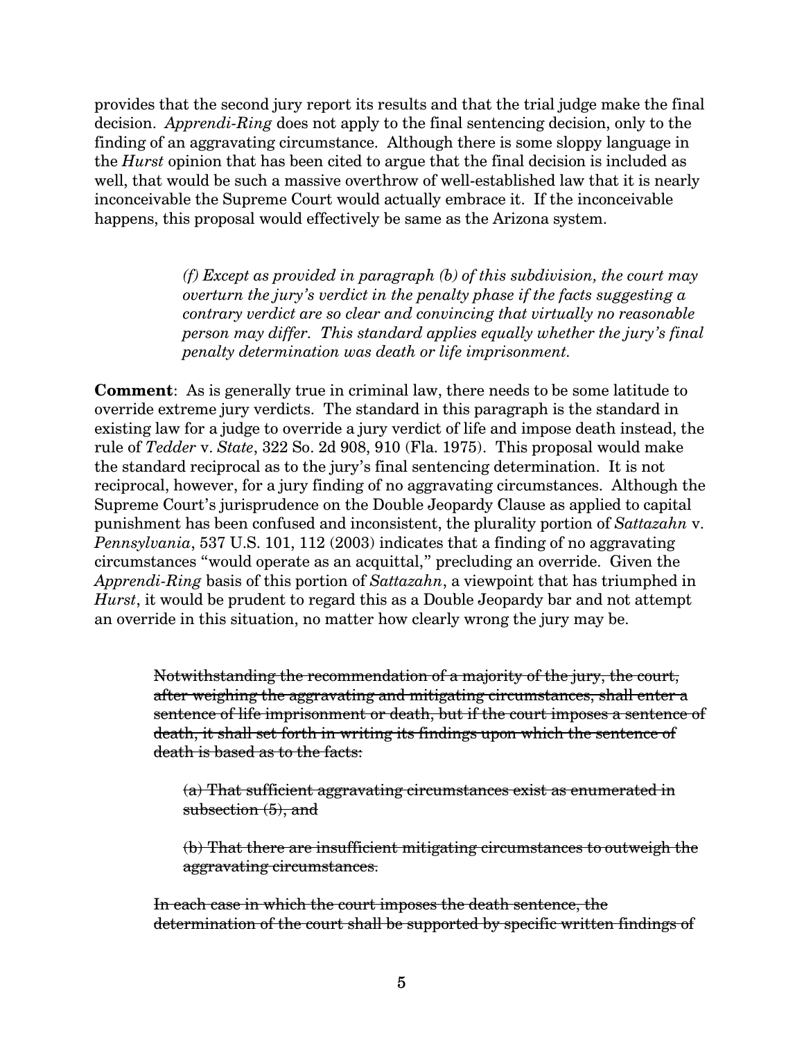provides that the second jury report its results and that the trial judge make the final decision. *Apprendi-Ring* does not apply to the final sentencing decision, only to the finding of an aggravating circumstance. Although there is some sloppy language in the *Hurst* opinion that has been cited to argue that the final decision is included as well, that would be such a massive overthrow of well-established law that it is nearly inconceivable the Supreme Court would actually embrace it. If the inconceivable happens, this proposal would effectively be same as the Arizona system.

> *(f) Except as provided in paragraph (b) of this subdivision, the court may overturn the jury's verdict in the penalty phase if the facts suggesting a contrary verdict are so clear and convincing that virtually no reasonable person may differ. This standard applies equally whether the jury's final penalty determination was death or life imprisonment.*

**Comment**: As is generally true in criminal law, there needs to be some latitude to override extreme jury verdicts. The standard in this paragraph is the standard in existing law for a judge to override a jury verdict of life and impose death instead, the rule of *Tedder* v. *State*, 322 So. 2d 908, 910 (Fla. 1975). This proposal would make the standard reciprocal as to the jury's final sentencing determination. It is not reciprocal, however, for a jury finding of no aggravating circumstances. Although the Supreme Court's jurisprudence on the Double Jeopardy Clause as applied to capital punishment has been confused and inconsistent, the plurality portion of *Sattazahn* v. *Pennsylvania*, 537 U.S. 101, 112 (2003) indicates that a finding of no aggravating circumstances "would operate as an acquittal," precluding an override. Given the *Apprendi-Ring* basis of this portion of *Sattazahn*, a viewpoint that has triumphed in *Hurst*, it would be prudent to regard this as a Double Jeopardy bar and not attempt an override in this situation, no matter how clearly wrong the jury may be.

Notwithstanding the recommendation of a majority of the jury, the court, after weighing the aggravating and mitigating circumstances, shall enter a sentence of life imprisonment or death, but if the court imposes a sentence of death, it shall set forth in writing its findings upon which the sentence of death is based as to the facts:

(a) That sufficient aggravating circumstances exist as enumerated in subsection  $(5)$ , and

(b) That there are insufficient mitigating circumstances to outweigh the aggravating circumstances.

In each case in which the court imposes the death sentence, the determination of the court shall be supported by specific written findings of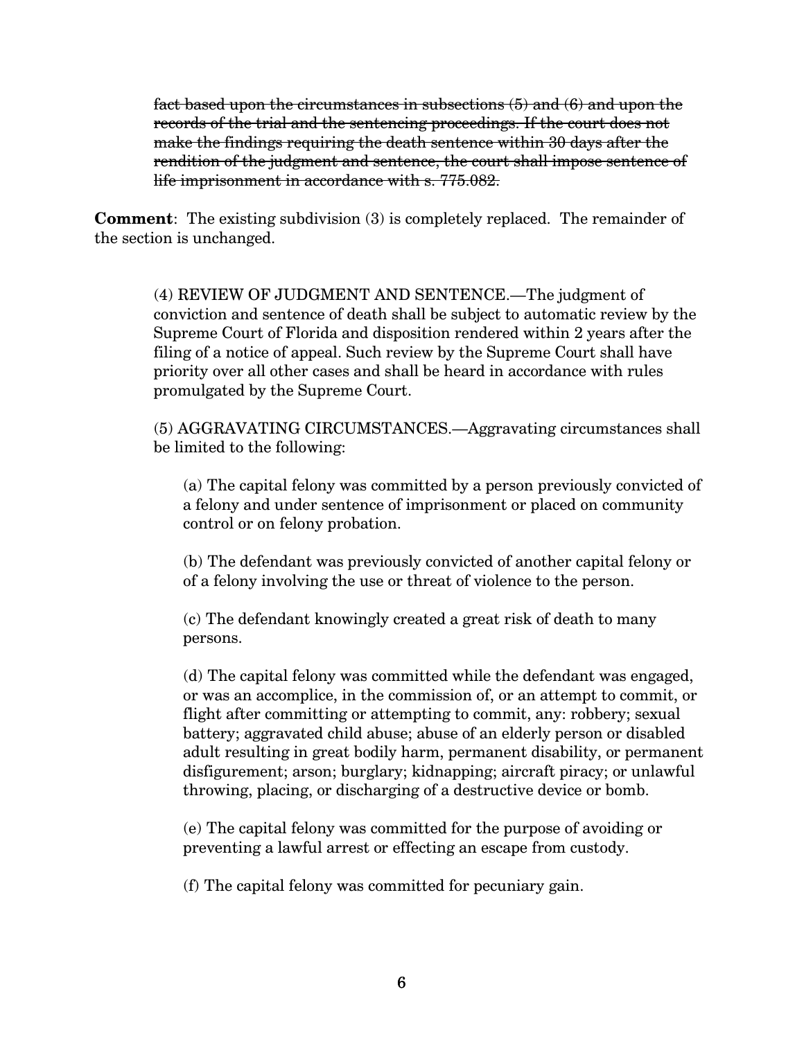fact based upon the circumstances in subsections  $(5)$  and  $(6)$  and upon the records of the trial and the sentencing proceedings. If the court does not make the findings requiring the death sentence within 30 days after the rendition of the judgment and sentence, the court shall impose sentence of life imprisonment in accordance with s. 775.082.

**Comment**: The existing subdivision (3) is completely replaced. The remainder of the section is unchanged.

(4) REVIEW OF JUDGMENT AND SENTENCE.—The judgment of conviction and sentence of death shall be subject to automatic review by the Supreme Court of Florida and disposition rendered within 2 years after the filing of a notice of appeal. Such review by the Supreme Court shall have priority over all other cases and shall be heard in accordance with rules promulgated by the Supreme Court.

(5) AGGRAVATING CIRCUMSTANCES.—Aggravating circumstances shall be limited to the following:

(a) The capital felony was committed by a person previously convicted of a felony and under sentence of imprisonment or placed on community control or on felony probation.

(b) The defendant was previously convicted of another capital felony or of a felony involving the use or threat of violence to the person.

(c) The defendant knowingly created a great risk of death to many persons.

(d) The capital felony was committed while the defendant was engaged, or was an accomplice, in the commission of, or an attempt to commit, or flight after committing or attempting to commit, any: robbery; sexual battery; aggravated child abuse; abuse of an elderly person or disabled adult resulting in great bodily harm, permanent disability, or permanent disfigurement; arson; burglary; kidnapping; aircraft piracy; or unlawful throwing, placing, or discharging of a destructive device or bomb.

(e) The capital felony was committed for the purpose of avoiding or preventing a lawful arrest or effecting an escape from custody.

(f) The capital felony was committed for pecuniary gain.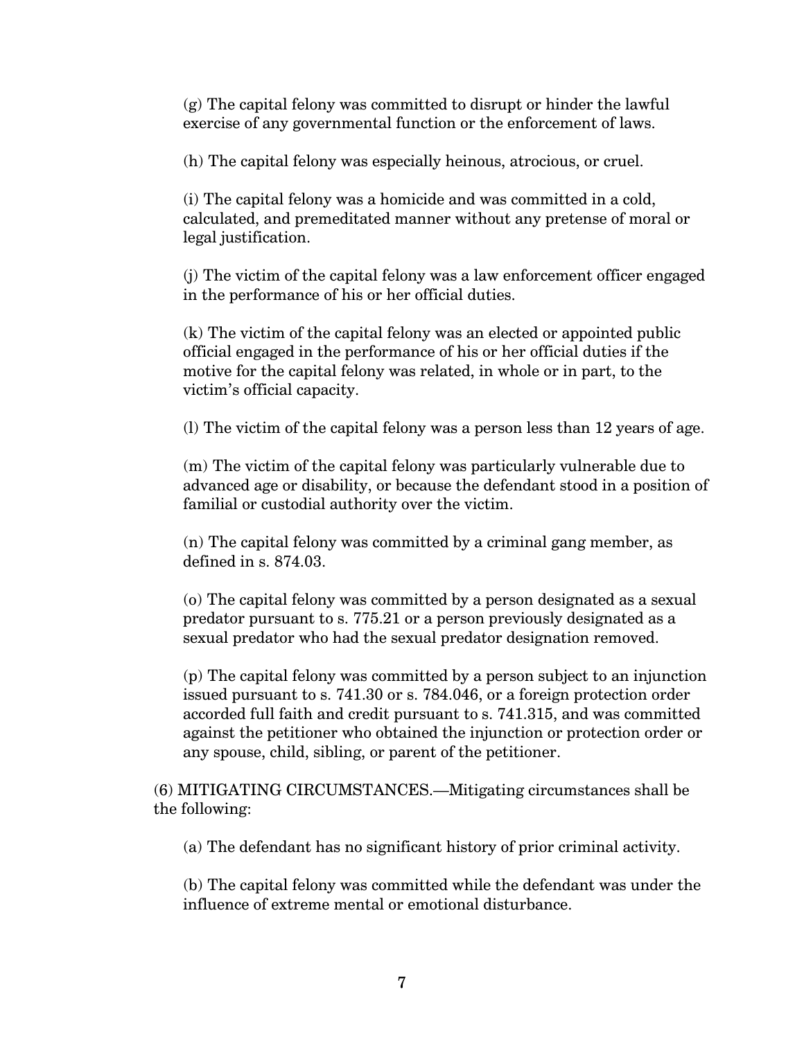(g) The capital felony was committed to disrupt or hinder the lawful exercise of any governmental function or the enforcement of laws.

(h) The capital felony was especially heinous, atrocious, or cruel.

(i) The capital felony was a homicide and was committed in a cold, calculated, and premeditated manner without any pretense of moral or legal justification.

(j) The victim of the capital felony was a law enforcement officer engaged in the performance of his or her official duties.

(k) The victim of the capital felony was an elected or appointed public official engaged in the performance of his or her official duties if the motive for the capital felony was related, in whole or in part, to the victim's official capacity.

(l) The victim of the capital felony was a person less than 12 years of age.

(m) The victim of the capital felony was particularly vulnerable due to advanced age or disability, or because the defendant stood in a position of familial or custodial authority over the victim.

(n) The capital felony was committed by a criminal gang member, as defined in s. 874.03.

(o) The capital felony was committed by a person designated as a sexual predator pursuant to s. 775.21 or a person previously designated as a sexual predator who had the sexual predator designation removed.

(p) The capital felony was committed by a person subject to an injunction issued pursuant to s. 741.30 or s. 784.046, or a foreign protection order accorded full faith and credit pursuant to s. 741.315, and was committed against the petitioner who obtained the injunction or protection order or any spouse, child, sibling, or parent of the petitioner.

(6) MITIGATING CIRCUMSTANCES.—Mitigating circumstances shall be the following:

(a) The defendant has no significant history of prior criminal activity.

(b) The capital felony was committed while the defendant was under the influence of extreme mental or emotional disturbance.